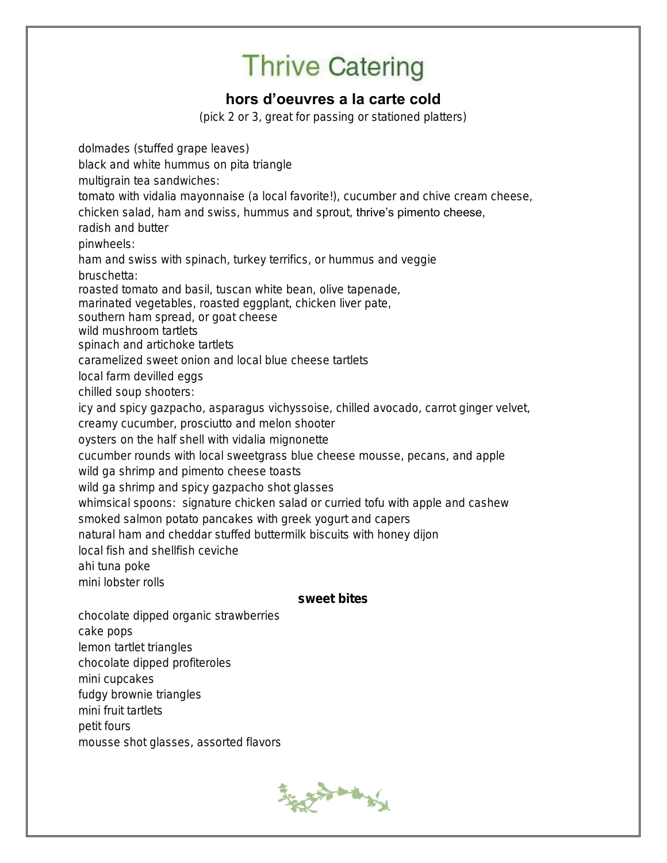### hors d'oeuvres a la carte cold

(pick 2 or 3, great for passing or stationed platters)

dolmades (stuffed grape leaves) black and white hummus on pita triangle multigrain tea sandwiches: tomato with vidalia mayonnaise (a local favorite!), cucumber and chive cream cheese, chicken salad, ham and swiss, hummus and sprout, thrive's pimento cheese, radish and butter pinwheels: ham and swiss with spinach, turkey terrifics, or hummus and veggie bruschetta: roasted tomato and basil, tuscan white bean, olive tapenade, marinated vegetables, roasted eggplant, chicken liver pate, southern ham spread, or goat cheese wild mushroom tartlets spinach and artichoke tartlets caramelized sweet onion and local blue cheese tartlets local farm devilled eggs chilled soup shooters: icy and spicy gazpacho, asparagus vichyssoise, chilled avocado, carrot ginger velvet, creamy cucumber, prosciutto and melon shooter oysters on the half shell with vidalia mignonette cucumber rounds with local sweetgrass blue cheese mousse, pecans, and apple wild ga shrimp and pimento cheese toasts wild ga shrimp and spicy gazpacho shot glasses whimsical spoons: signature chicken salad or curried tofu with apple and cashew smoked salmon potato pancakes with greek yogurt and capers natural ham and cheddar stuffed buttermilk biscuits with honey dijon local fish and shellfish ceviche ahi tuna poke mini lobster rolls sweet bites chocolate dipped organic strawberries cake pops lemon tartlet triangles chocolate dipped profiteroles mini cupcakes

fudgy brownie triangles

mini fruit tartlets

petit fours

mousse shot glasses, assorted flavors

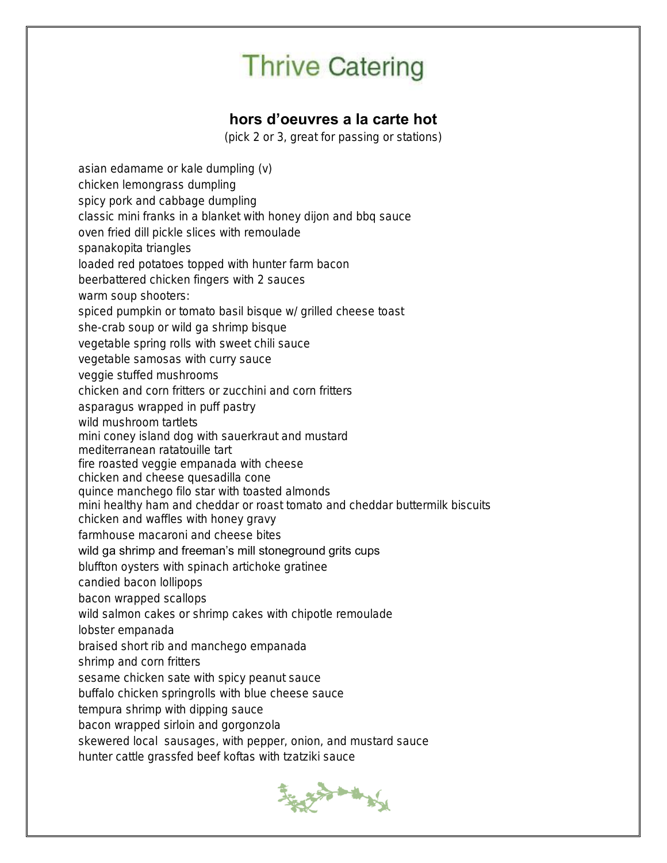### hors d'oeuvres a la carte hot

(pick 2 or 3, great for passing or stations)

asian edamame or kale dumpling (v) chicken lemongrass dumpling spicy pork and cabbage dumpling classic mini franks in a blanket with honey dijon and bbq sauce oven fried dill pickle slices with remoulade spanakopita triangles loaded red potatoes topped with hunter farm bacon beerbattered chicken fingers with 2 sauces warm soup shooters: spiced pumpkin or tomato basil bisque w/ grilled cheese toast she-crab soup or wild ga shrimp bisque vegetable spring rolls with sweet chili sauce vegetable samosas with curry sauce veggie stuffed mushrooms chicken and corn fritters or zucchini and corn fritters asparagus wrapped in puff pastry wild mushroom tartlets mini coney island dog with sauerkraut and mustard mediterranean ratatouille tart fire roasted veggie empanada with cheese chicken and cheese quesadilla cone quince manchego filo star with toasted almonds mini healthy ham and cheddar or roast tomato and cheddar buttermilk biscuits chicken and waffles with honey gravy farmhouse macaroni and cheese bites wild ga shrimp and freeman's mill stoneground grits cups bluffton oysters with spinach artichoke gratinee candied bacon lollipops bacon wrapped scallops wild salmon cakes or shrimp cakes with chipotle remoulade lobster empanada braised short rib and manchego empanada shrimp and corn fritters sesame chicken sate with spicy peanut sauce buffalo chicken springrolls with blue cheese sauce tempura shrimp with dipping sauce bacon wrapped sirloin and gorgonzola skewered local sausages, with pepper, onion, and mustard sauce hunter cattle grassfed beef koftas with tzatziki sauce

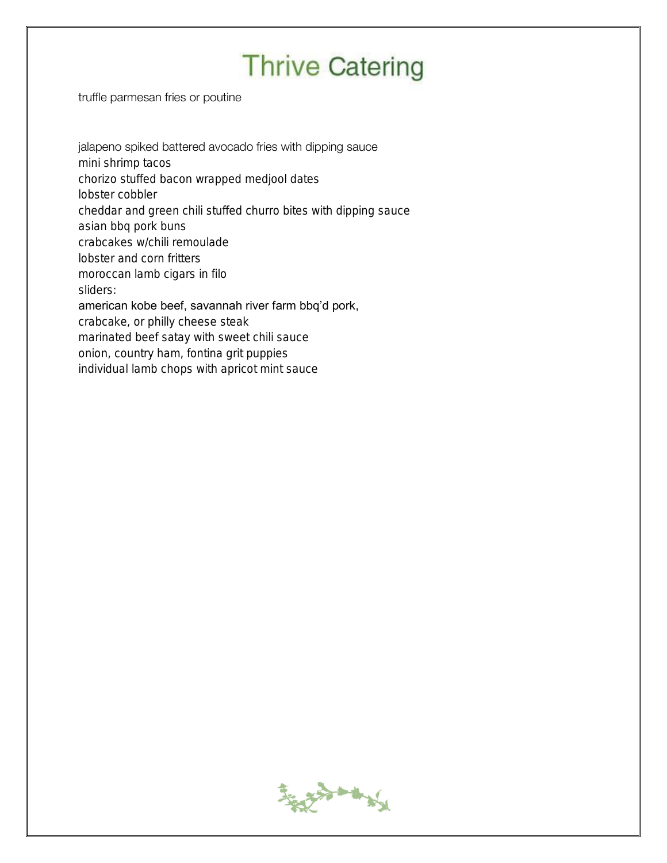truffle parmesan fries or poutine

#### jalapeno spiked battered avocado fries with dipping sauce

mini shrimp tacos

chorizo stuffed bacon wrapped medjool dates

lobster cobbler

cheddar and green chili stuffed churro bites with dipping sauce

asian bbq pork buns

crabcakes w/chili remoulade

lobster and corn fritters

moroccan lamb cigars in filo

sliders:

#### american kobe beef, savannah river farm bbq'd pork,

crabcake, or philly cheese steak

marinated beef satay with sweet chili sauce

onion, country ham, fontina grit puppies

individual lamb chops with apricot mint sauce

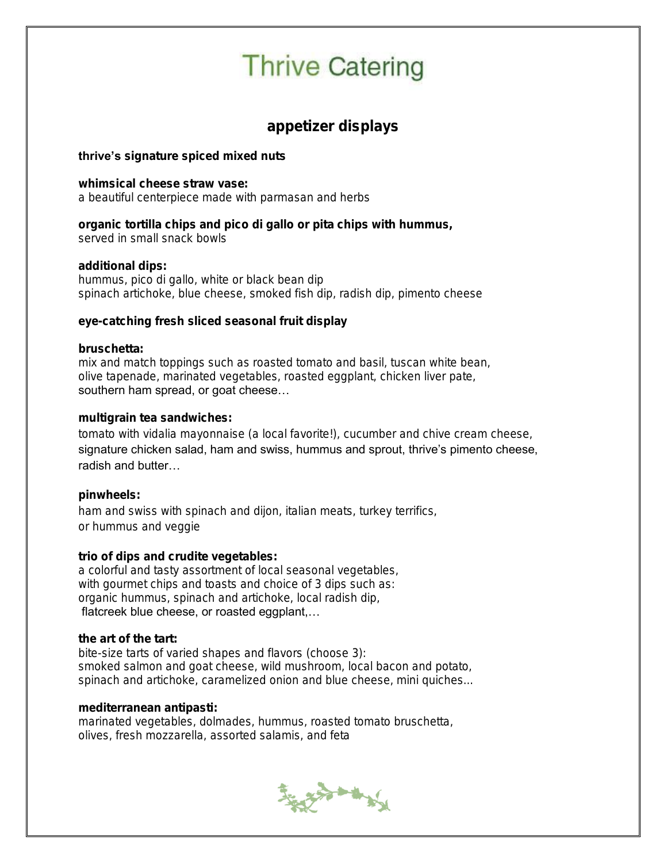appetizer displays

thrive's signature spiced mixed nuts

whimsical cheese straw vase: a beautiful centerpiece made with parmasan and herbs

organic tortilla chips and pico di gallo or pita chips with hummus, served in small snack bowls

additional dips: hummus, pico di gallo, white or black bean dip spinach artichoke, blue cheese, smoked fish dip, radish dip, pimento cheese

eye-catching fresh sliced seasonal fruit display

bruschetta: mix and match toppings such as roasted tomato and basil, tuscan white bean, olive tapenade, marinated vegetables, roasted eggplant, chicken liver pate, southern ham spread, or goat cheese…

multigrain tea sandwiches:

tomato with vidalia mayonnaise (a local favorite!), cucumber and chive cream cheese, signature chicken salad, ham and swiss, hummus and sprout, thrive's pimento cheese, radish and butter…

pinwheels: ham and swiss with spinach and dijon, italian meats, turkey terrifics, or hummus and veggie

trio of dips and crudite vegetables: a colorful and tasty assortment of local seasonal vegetables, with gourmet chips and toasts and choice of 3 dips such as: organic hummus, spinach and artichoke, local radish dip, flatcreek blue cheese, or roasted eggplant,…

the art of the tart:

bite-size tarts of varied shapes and flavors (choose 3): smoked salmon and goat cheese, wild mushroom, local bacon and potato, spinach and artichoke, caramelized onion and blue cheese, mini quiches...

mediterranean antipasti:

marinated vegetables, dolmades, hummus, roasted tomato bruschetta, olives, fresh mozzarella, assorted salamis, and feta